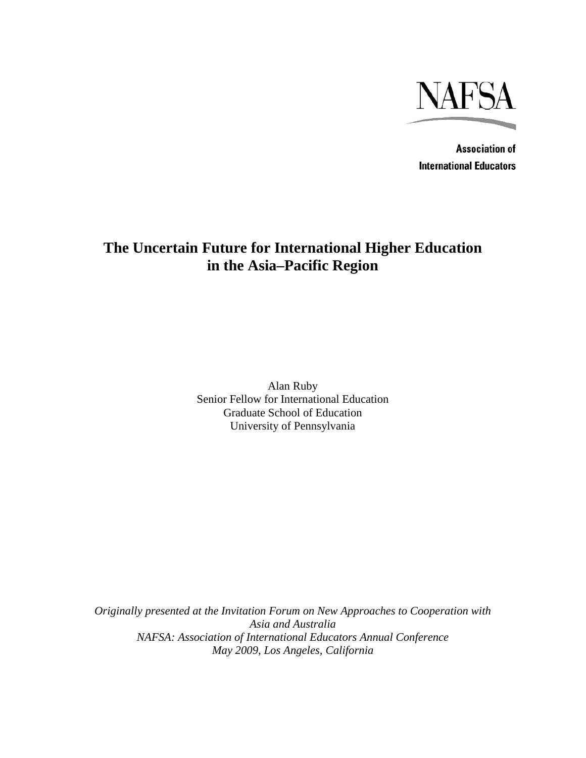

**Association of International Educators** 

# **The Uncertain Future for International Higher Education in the Asia–Pacific Region**

Alan Ruby Senior Fellow for International Education Graduate School of Education University of Pennsylvania

*Originally presented at the Invitation Forum on New Approaches to Cooperation with Asia and Australia NAFSA: Association of International Educators Annual Conference May 2009, Los Angeles, California*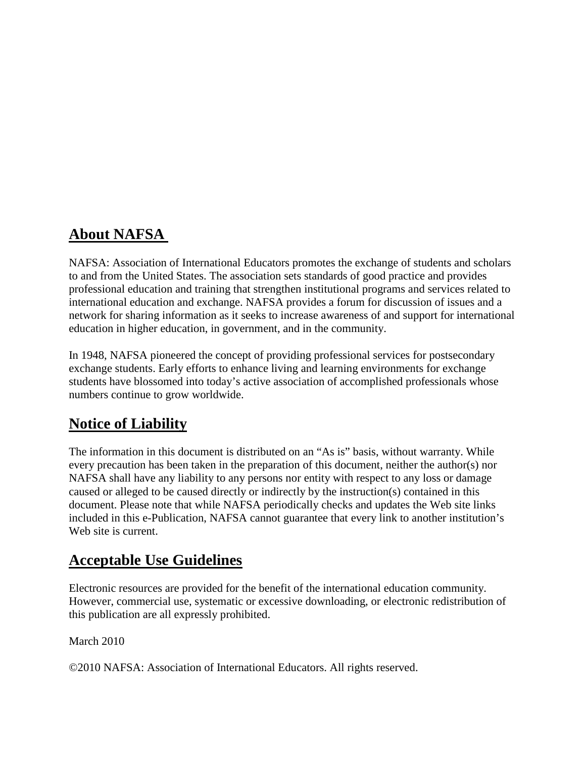# **About NAFSA**

NAFSA: Association of International Educators promotes the exchange of students and scholars to and from the United States. The association sets standards of good practice and provides professional education and training that strengthen institutional programs and services related to international education and exchange. NAFSA provides a forum for discussion of issues and a network for sharing information as it seeks to increase awareness of and support for international education in higher education, in government, and in the community.

In 1948, NAFSA pioneered the concept of providing professional services for postsecondary exchange students. Early efforts to enhance living and learning environments for exchange students have blossomed into today's active association of accomplished professionals whose numbers continue to grow worldwide.

# **Notice of Liability**

The information in this document is distributed on an "As is" basis, without warranty. While every precaution has been taken in the preparation of this document, neither the author(s) nor NAFSA shall have any liability to any persons nor entity with respect to any loss or damage caused or alleged to be caused directly or indirectly by the instruction(s) contained in this document. Please note that while NAFSA periodically checks and updates the Web site links included in this e-Publication, NAFSA cannot guarantee that every link to another institution's Web site is current.

# **Acceptable Use Guidelines**

Electronic resources are provided for the benefit of the international education community. However, commercial use, systematic or excessive downloading, or electronic redistribution of this publication are all expressly prohibited.

March 2010

©2010 NAFSA: Association of International Educators. All rights reserved.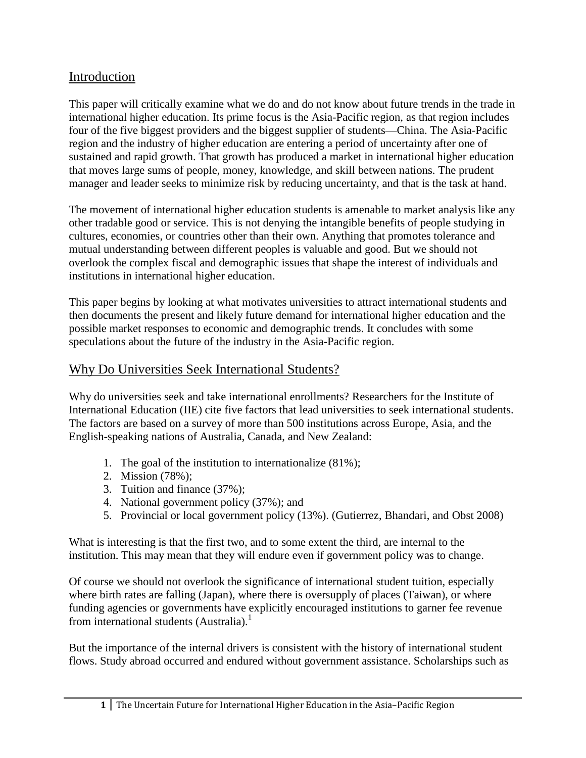## Introduction

This paper will critically examine what we do and do not know about future trends in the trade in international higher education. Its prime focus is the Asia-Pacific region, as that region includes four of the five biggest providers and the biggest supplier of students—China. The Asia-Pacific region and the industry of higher education are entering a period of uncertainty after one of sustained and rapid growth. That growth has produced a market in international higher education that moves large sums of people, money, knowledge, and skill between nations. The prudent manager and leader seeks to minimize risk by reducing uncertainty, and that is the task at hand.

The movement of international higher education students is amenable to market analysis like any other tradable good or service. This is not denying the intangible benefits of people studying in cultures, economies, or countries other than their own. Anything that promotes tolerance and mutual understanding between different peoples is valuable and good. But we should not overlook the complex fiscal and demographic issues that shape the interest of individuals and institutions in international higher education.

This paper begins by looking at what motivates universities to attract international students and then documents the present and likely future demand for international higher education and the possible market responses to economic and demographic trends. It concludes with some speculations about the future of the industry in the Asia-Pacific region.

## Why Do Universities Seek International Students?

Why do universities seek and take international enrollments? Researchers for the Institute of International Education (IIE) cite five factors that lead universities to seek international students. The factors are based on a survey of more than 500 institutions across Europe, Asia, and the English-speaking nations of Australia, Canada, and New Zealand:

- 1. The goal of the institution to internationalize (81%);
- 2. Mission (78%);
- 3. Tuition and finance (37%);
- 4. National government policy (37%); and
- 5. Provincial or local government policy (13%). (Gutierrez, Bhandari, and Obst 2008)

What is interesting is that the first two, and to some extent the third, are internal to the institution. This may mean that they will endure even if government policy was to change.

Of course we should not overlook the significance of international student tuition, especially where birth rates are falling (Japan), where there is oversupply of places (Taiwan), or where funding agencies or governments have explicitly encouraged institutions to garner fee revenue from international students (Australia).<sup>1</sup>

But the importance of the internal drivers is consistent with the history of international student flows. Study abroad occurred and endured without government assistance. Scholarships such as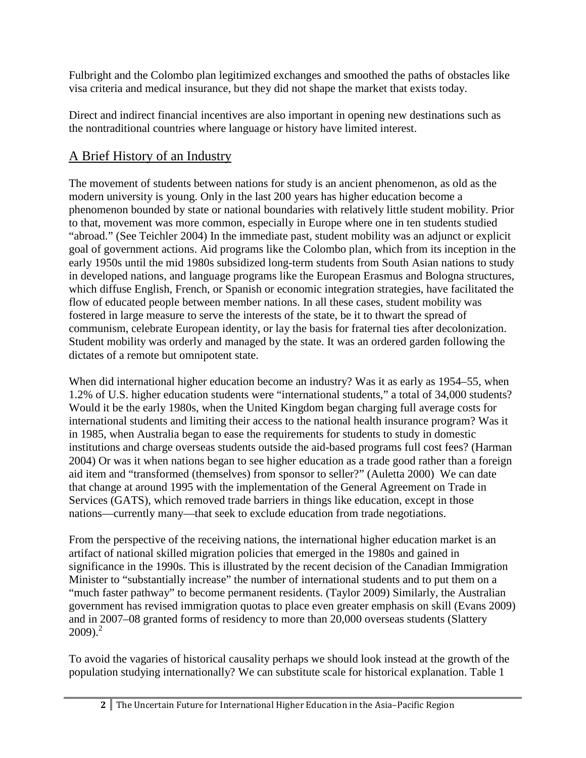Fulbright and the Colombo plan legitimized exchanges and smoothed the paths of obstacles like visa criteria and medical insurance, but they did not shape the market that exists today.

Direct and indirect financial incentives are also important in opening new destinations such as the nontraditional countries where language or history have limited interest.

# A Brief History of an Industry

The movement of students between nations for study is an ancient phenomenon, as old as the modern university is young. Only in the last 200 years has higher education become a phenomenon bounded by state or national boundaries with relatively little student mobility. Prior to that, movement was more common, especially in Europe where one in ten students studied "abroad." (See Teichler 2004) In the immediate past, student mobility was an adjunct or explicit goal of government actions. Aid programs like the Colombo plan, which from its inception in the early 1950s until the mid 1980s subsidized long-term students from South Asian nations to study in developed nations, and language programs like the European Erasmus and Bologna structures, which diffuse English, French, or Spanish or economic integration strategies, have facilitated the flow of educated people between member nations. In all these cases, student mobility was fostered in large measure to serve the interests of the state, be it to thwart the spread of communism, celebrate European identity, or lay the basis for fraternal ties after decolonization. Student mobility was orderly and managed by the state. It was an ordered garden following the dictates of a remote but omnipotent state.

When did international higher education become an industry? Was it as early as 1954–55, when 1.2% of U.S. higher education students were "international students," a total of 34,000 students? Would it be the early 1980s, when the United Kingdom began charging full average costs for international students and limiting their access to the national health insurance program? Was it in 1985, when Australia began to ease the requirements for students to study in domestic institutions and charge overseas students outside the aid-based programs full cost fees? (Harman 2004) Or was it when nations began to see higher education as a trade good rather than a foreign aid item and "transformed (themselves) from sponsor to seller?" (Auletta 2000) We can date that change at around 1995 with the implementation of the General Agreement on Trade in Services (GATS), which removed trade barriers in things like education, except in those nations—currently many—that seek to exclude education from trade negotiations.

From the perspective of the receiving nations, the international higher education market is an artifact of national skilled migration policies that emerged in the 1980s and gained in significance in the 1990s. This is illustrated by the recent decision of the Canadian Immigration Minister to "substantially increase" the number of international students and to put them on a "much faster pathway" to become permanent residents. (Taylor 2009) Similarly, the Australian government has revised immigration quotas to place even greater emphasis on skill (Evans 2009) and in 2007–08 granted forms of residency to more than 20,000 overseas students (Slattery  $2009$ <sup>2</sup>

To avoid the vagaries of historical causality perhaps we should look instead at the growth of the population studying internationally? We can substitute scale for historical explanation. Table 1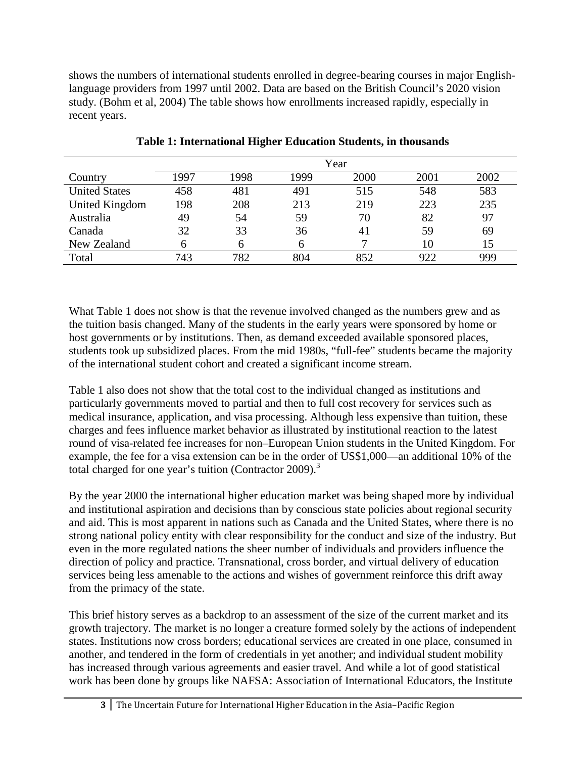shows the numbers of international students enrolled in degree-bearing courses in major Englishlanguage providers from 1997 until 2002. Data are based on the British Council's 2020 vision study. (Bohm et al, 2004) The table shows how enrollments increased rapidly, especially in recent years.

|                      | Year |      |      |      |      |      |  |  |  |
|----------------------|------|------|------|------|------|------|--|--|--|
| Country              | 1997 | 1998 | 1999 | 2000 | 2001 | 2002 |  |  |  |
| <b>United States</b> | 458  | 481  | 491  | 515  | 548  | 583  |  |  |  |
| United Kingdom       | 198  | 208  | 213  | 219  | 223  | 235  |  |  |  |
| Australia            | 49   | 54   | 59   | 70   | 82   | 97   |  |  |  |
| Canada               | 32   | 33   | 36   | 41   | 59   | 69   |  |  |  |
| New Zealand          | h    | h    |      |      | 10   | 15   |  |  |  |
| Total                | 743  | 782  | 804  | 852  | 922  | 999  |  |  |  |

**Table 1: International Higher Education Students, in thousands**

What Table 1 does not show is that the revenue involved changed as the numbers grew and as the tuition basis changed. Many of the students in the early years were sponsored by home or host governments or by institutions. Then, as demand exceeded available sponsored places, students took up subsidized places. From the mid 1980s, "full-fee" students became the majority of the international student cohort and created a significant income stream.

Table 1 also does not show that the total cost to the individual changed as institutions and particularly governments moved to partial and then to full cost recovery for services such as medical insurance, application, and visa processing. Although less expensive than tuition, these charges and fees influence market behavior as illustrated by institutional reaction to the latest round of visa-related fee increases for non–European Union students in the United Kingdom. For example, the fee for a visa extension can be in the order of US\$1,000—an additional 10% of the total charged for one year's tuition (Contractor 2009).<sup>3</sup>

By the year 2000 the international higher education market was being shaped more by individual and institutional aspiration and decisions than by conscious state policies about regional security and aid. This is most apparent in nations such as Canada and the United States, where there is no strong national policy entity with clear responsibility for the conduct and size of the industry. But even in the more regulated nations the sheer number of individuals and providers influence the direction of policy and practice. Transnational, cross border, and virtual delivery of education services being less amenable to the actions and wishes of government reinforce this drift away from the primacy of the state.

This brief history serves as a backdrop to an assessment of the size of the current market and its growth trajectory. The market is no longer a creature formed solely by the actions of independent states. Institutions now cross borders; educational services are created in one place, consumed in another, and tendered in the form of credentials in yet another; and individual student mobility has increased through various agreements and easier travel. And while a lot of good statistical work has been done by groups like NAFSA: Association of International Educators, the Institute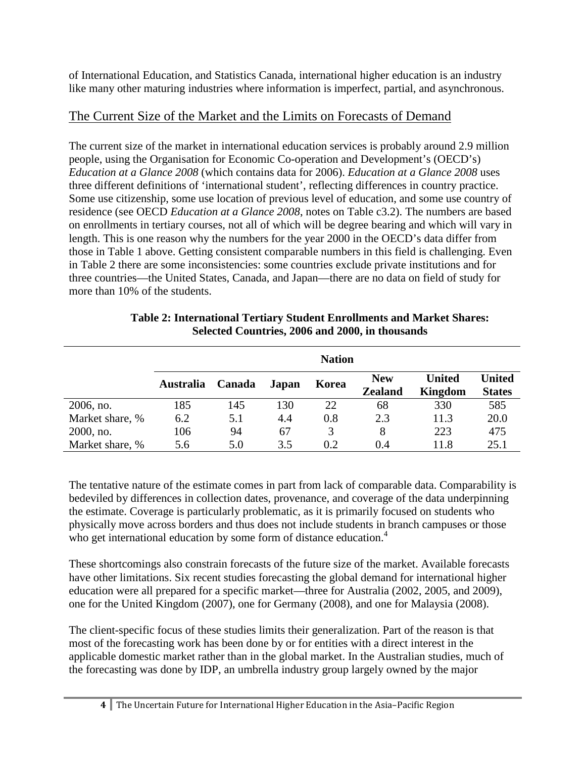of International Education, and Statistics Canada, international higher education is an industry like many other maturing industries where information is imperfect, partial, and asynchronous.

## The Current Size of the Market and the Limits on Forecasts of Demand

The current size of the market in international education services is probably around 2.9 million people, using the Organisation for Economic Co-operation and Development's (OECD's) *Education at a Glance 2008* (which contains data for 2006). *Education at a Glance 2008* uses three different definitions of 'international student', reflecting differences in country practice. Some use citizenship, some use location of previous level of education, and some use country of residence (see OECD *Education at a Glance 2008*, notes on Table c3.2). The numbers are based on enrollments in tertiary courses, not all of which will be degree bearing and which will vary in length. This is one reason why the numbers for the year 2000 in the OECD's data differ from those in Table 1 above. Getting consistent comparable numbers in this field is challenging. Even in Table 2 there are some inconsistencies: some countries exclude private institutions and for three countries—the United States, Canada, and Japan—there are no data on field of study for more than 10% of the students.

|                 | <b>Nation</b>    |        |       |       |                              |                          |                                |  |  |  |
|-----------------|------------------|--------|-------|-------|------------------------------|--------------------------|--------------------------------|--|--|--|
|                 | <b>Australia</b> | Canada | Japan | Korea | <b>New</b><br><b>Zealand</b> | <b>United</b><br>Kingdom | <b>United</b><br><b>States</b> |  |  |  |
| 2006, no.       | 185              | 145    | 130   | 22    | 68                           | 330                      | 585                            |  |  |  |
| Market share, % | 6.2              | 5.1    | 4.4   | 0.8   | 2.3                          | 11.3                     | 20.0                           |  |  |  |
| 2000, no.       | 106              | 94     | 67    | 3     | 8                            | 223                      | 475                            |  |  |  |
| Market share, % | 5.6              | 5.0    | 3.5   | 0.2   | 0.4                          | 11.8                     | 25.1                           |  |  |  |

#### **Table 2: International Tertiary Student Enrollments and Market Shares: Selected Countries, 2006 and 2000, in thousands**

The tentative nature of the estimate comes in part from lack of comparable data. Comparability is bedeviled by differences in collection dates, provenance, and coverage of the data underpinning the estimate. Coverage is particularly problematic, as it is primarily focused on students who physically move across borders and thus does not include students in branch campuses or those who get international education by some form of distance education.<sup>4</sup>

These shortcomings also constrain forecasts of the future size of the market. Available forecasts have other limitations. Six recent studies forecasting the global demand for international higher education were all prepared for a specific market—three for Australia (2002, 2005, and 2009), one for the United Kingdom (2007), one for Germany (2008), and one for Malaysia (2008).

The client-specific focus of these studies limits their generalization. Part of the reason is that most of the forecasting work has been done by or for entities with a direct interest in the applicable domestic market rather than in the global market. In the Australian studies, much of the forecasting was done by IDP, an umbrella industry group largely owned by the major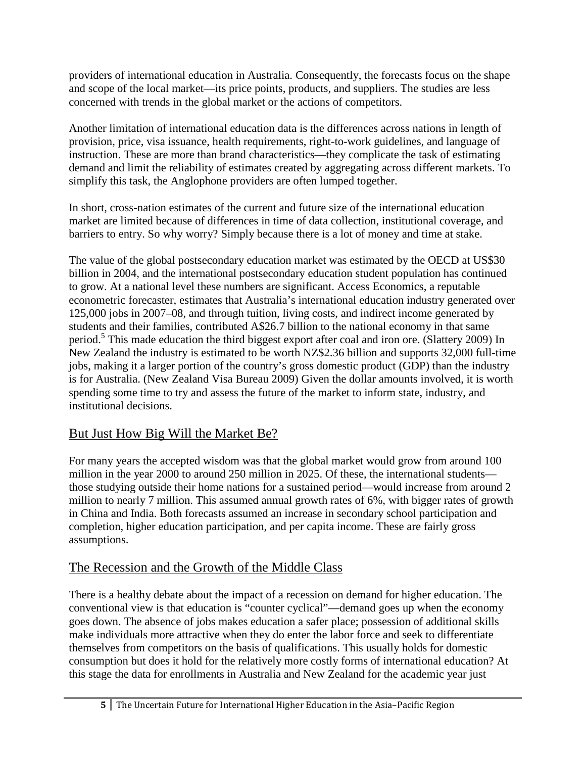providers of international education in Australia. Consequently, the forecasts focus on the shape and scope of the local market—its price points, products, and suppliers. The studies are less concerned with trends in the global market or the actions of competitors.

Another limitation of international education data is the differences across nations in length of provision, price, visa issuance, health requirements, right-to-work guidelines, and language of instruction. These are more than brand characteristics—they complicate the task of estimating demand and limit the reliability of estimates created by aggregating across different markets. To simplify this task, the Anglophone providers are often lumped together.

In short, cross-nation estimates of the current and future size of the international education market are limited because of differences in time of data collection, institutional coverage, and barriers to entry. So why worry? Simply because there is a lot of money and time at stake.

The value of the global postsecondary education market was estimated by the OECD at US\$30 billion in 2004, and the international postsecondary education student population has continued to grow. At a national level these numbers are significant. Access Economics, a reputable econometric forecaster, estimates that Australia's international education industry generated over 125,000 jobs in 2007–08, and through tuition, living costs, and indirect income generated by students and their families, contributed A\$26.7 billion to the national economy in that same period.<sup>5</sup> This made education the third biggest export after coal and iron ore. (Slattery 2009) In New Zealand the industry is estimated to be worth NZ\$2.36 billion and supports 32,000 full-time jobs, making it a larger portion of the country's gross domestic product (GDP) than the industry is for Australia. (New Zealand Visa Bureau 2009) Given the dollar amounts involved, it is worth spending some time to try and assess the future of the market to inform state, industry, and institutional decisions.

# But Just How Big Will the Market Be?

For many years the accepted wisdom was that the global market would grow from around 100 million in the year 2000 to around 250 million in 2025. Of these, the international students those studying outside their home nations for a sustained period—would increase from around 2 million to nearly 7 million. This assumed annual growth rates of 6%, with bigger rates of growth in China and India. Both forecasts assumed an increase in secondary school participation and completion, higher education participation, and per capita income. These are fairly gross assumptions.

## The Recession and the Growth of the Middle Class

There is a healthy debate about the impact of a recession on demand for higher education. The conventional view is that education is "counter cyclical"—demand goes up when the economy goes down. The absence of jobs makes education a safer place; possession of additional skills make individuals more attractive when they do enter the labor force and seek to differentiate themselves from competitors on the basis of qualifications. This usually holds for domestic consumption but does it hold for the relatively more costly forms of international education? At this stage the data for enrollments in Australia and New Zealand for the academic year just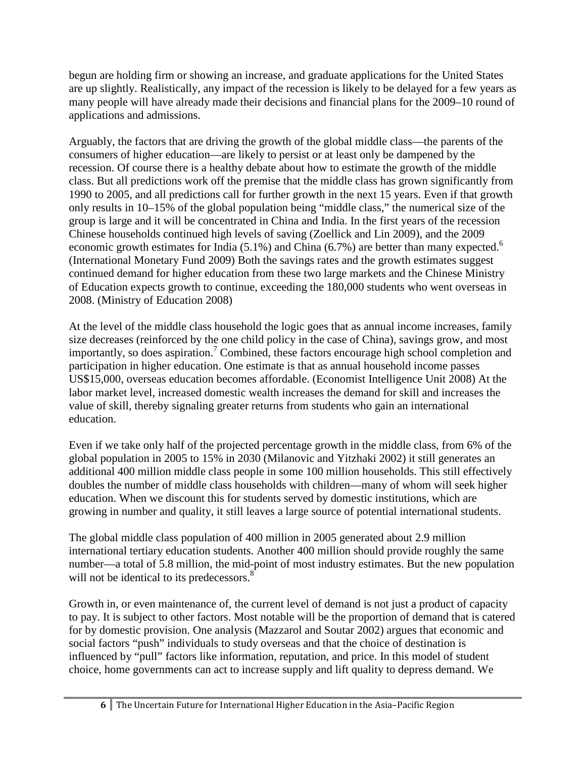begun are holding firm or showing an increase, and graduate applications for the United States are up slightly. Realistically, any impact of the recession is likely to be delayed for a few years as many people will have already made their decisions and financial plans for the 2009–10 round of applications and admissions.

Arguably, the factors that are driving the growth of the global middle class—the parents of the consumers of higher education—are likely to persist or at least only be dampened by the recession. Of course there is a healthy debate about how to estimate the growth of the middle class. But all predictions work off the premise that the middle class has grown significantly from 1990 to 2005, and all predictions call for further growth in the next 15 years. Even if that growth only results in 10–15% of the global population being "middle class," the numerical size of the group is large and it will be concentrated in China and India. In the first years of the recession Chinese households continued high levels of saving (Zoellick and Lin 2009), and the 2009 economic growth estimates for India  $(5.1\%)$  and China  $(6.7\%)$  are better than many expected.<sup>6</sup> (International Monetary Fund 2009) Both the savings rates and the growth estimates suggest continued demand for higher education from these two large markets and the Chinese Ministry of Education expects growth to continue, exceeding the 180,000 students who went overseas in 2008. (Ministry of Education 2008)

At the level of the middle class household the logic goes that as annual income increases, family size decreases (reinforced by the one child policy in the case of China), savings grow, and most importantly, so does aspiration.<sup>7</sup> Combined, these factors encourage high school completion and participation in higher education. One estimate is that as annual household income passes US\$15,000, overseas education becomes affordable. (Economist Intelligence Unit 2008) At the labor market level, increased domestic wealth increases the demand for skill and increases the value of skill, thereby signaling greater returns from students who gain an international education.

Even if we take only half of the projected percentage growth in the middle class, from 6% of the global population in 2005 to 15% in 2030 (Milanovic and Yitzhaki 2002) it still generates an additional 400 million middle class people in some 100 million households. This still effectively doubles the number of middle class households with children—many of whom will seek higher education. When we discount this for students served by domestic institutions, which are growing in number and quality, it still leaves a large source of potential international students.

The global middle class population of 400 million in 2005 generated about 2.9 million international tertiary education students. Another 400 million should provide roughly the same number—a total of 5.8 million, the mid-point of most industry estimates. But the new population will not be identical to its predecessors.<sup>8</sup>

Growth in, or even maintenance of, the current level of demand is not just a product of capacity to pay. It is subject to other factors. Most notable will be the proportion of demand that is catered for by domestic provision. One analysis (Mazzarol and Soutar 2002) argues that economic and social factors "push" individuals to study overseas and that the choice of destination is influenced by "pull" factors like information, reputation, and price. In this model of student choice, home governments can act to increase supply and lift quality to depress demand. We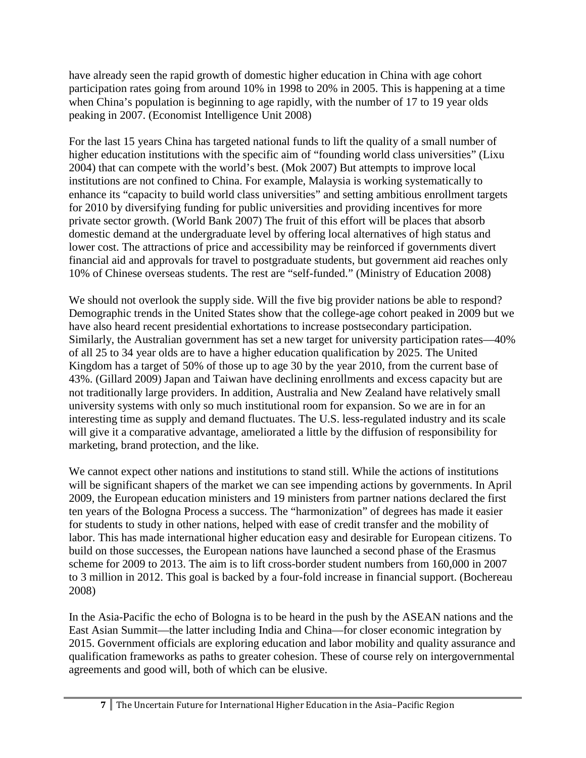have already seen the rapid growth of domestic higher education in China with age cohort participation rates going from around 10% in 1998 to 20% in 2005. This is happening at a time when China's population is beginning to age rapidly, with the number of 17 to 19 year olds peaking in 2007. (Economist Intelligence Unit 2008)

For the last 15 years China has targeted national funds to lift the quality of a small number of higher education institutions with the specific aim of "founding world class universities" (Lixu 2004) that can compete with the world's best. (Mok 2007) But attempts to improve local institutions are not confined to China. For example, Malaysia is working systematically to enhance its "capacity to build world class universities" and setting ambitious enrollment targets for 2010 by diversifying funding for public universities and providing incentives for more private sector growth. (World Bank 2007) The fruit of this effort will be places that absorb domestic demand at the undergraduate level by offering local alternatives of high status and lower cost. The attractions of price and accessibility may be reinforced if governments divert financial aid and approvals for travel to postgraduate students, but government aid reaches only 10% of Chinese overseas students. The rest are "self-funded." (Ministry of Education 2008)

We should not overlook the supply side. Will the five big provider nations be able to respond? Demographic trends in the United States show that the college-age cohort peaked in 2009 but we have also heard recent presidential exhortations to increase postsecondary participation. Similarly, the Australian government has set a new target for university participation rates—40% of all 25 to 34 year olds are to have a higher education qualification by 2025. The United Kingdom has a target of 50% of those up to age 30 by the year 2010, from the current base of 43%. (Gillard 2009) Japan and Taiwan have declining enrollments and excess capacity but are not traditionally large providers. In addition, Australia and New Zealand have relatively small university systems with only so much institutional room for expansion. So we are in for an interesting time as supply and demand fluctuates. The U.S. less-regulated industry and its scale will give it a comparative advantage, ameliorated a little by the diffusion of responsibility for marketing, brand protection, and the like.

We cannot expect other nations and institutions to stand still. While the actions of institutions will be significant shapers of the market we can see impending actions by governments. In April 2009, the European education ministers and 19 ministers from partner nations declared the first ten years of the Bologna Process a success. The "harmonization" of degrees has made it easier for students to study in other nations, helped with ease of credit transfer and the mobility of labor. This has made international higher education easy and desirable for European citizens. To build on those successes, the European nations have launched a second phase of the Erasmus scheme for 2009 to 2013. The aim is to lift cross-border student numbers from 160,000 in 2007 to 3 million in 2012. This goal is backed by a four-fold increase in financial support. (Bochereau 2008)

In the Asia-Pacific the echo of Bologna is to be heard in the push by the ASEAN nations and the East Asian Summit—the latter including India and China—for closer economic integration by 2015. Government officials are exploring education and labor mobility and quality assurance and qualification frameworks as paths to greater cohesion. These of course rely on intergovernmental agreements and good will, both of which can be elusive.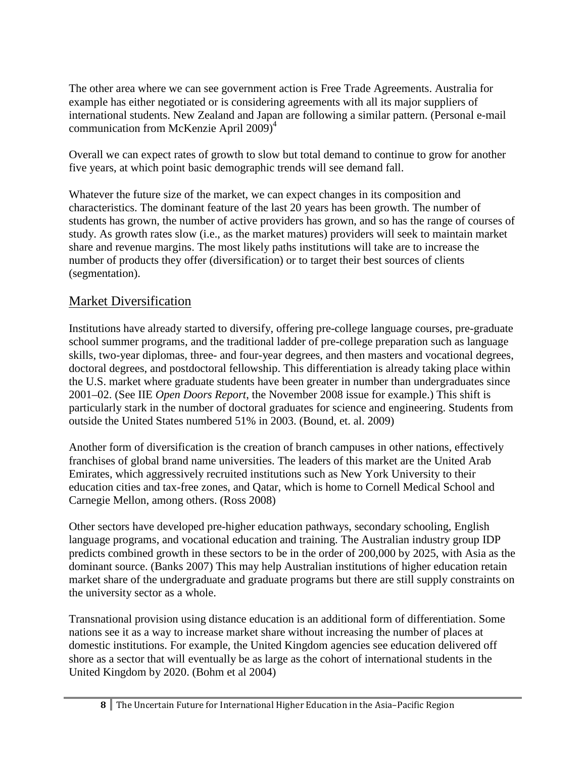The other area where we can see government action is Free Trade Agreements. Australia for example has either negotiated or is considering agreements with all its major suppliers of international students. New Zealand and Japan are following a similar pattern. (Personal e-mail communication from McKenzie April 2009) 4

Overall we can expect rates of growth to slow but total demand to continue to grow for another five years, at which point basic demographic trends will see demand fall.

Whatever the future size of the market, we can expect changes in its composition and characteristics. The dominant feature of the last 20 years has been growth. The number of students has grown, the number of active providers has grown, and so has the range of courses of study. As growth rates slow (i.e., as the market matures) providers will seek to maintain market share and revenue margins. The most likely paths institutions will take are to increase the number of products they offer (diversification) or to target their best sources of clients (segmentation).

## Market Diversification

Institutions have already started to diversify, offering pre-college language courses, pre-graduate school summer programs, and the traditional ladder of pre-college preparation such as language skills, two-year diplomas, three- and four-year degrees, and then masters and vocational degrees, doctoral degrees, and postdoctoral fellowship. This differentiation is already taking place within the U.S. market where graduate students have been greater in number than undergraduates since 2001–02. (See IIE *Open Doors Report*, the November 2008 issue for example.) This shift is particularly stark in the number of doctoral graduates for science and engineering. Students from outside the United States numbered 51% in 2003. (Bound, et. al. 2009)

Another form of diversification is the creation of branch campuses in other nations, effectively franchises of global brand name universities. The leaders of this market are the United Arab Emirates, which aggressively recruited institutions such as New York University to their education cities and tax-free zones, and Qatar, which is home to Cornell Medical School and Carnegie Mellon, among others. (Ross 2008)

Other sectors have developed pre-higher education pathways, secondary schooling, English language programs, and vocational education and training. The Australian industry group IDP predicts combined growth in these sectors to be in the order of 200,000 by 2025, with Asia as the dominant source. (Banks 2007) This may help Australian institutions of higher education retain market share of the undergraduate and graduate programs but there are still supply constraints on the university sector as a whole.

Transnational provision using distance education is an additional form of differentiation. Some nations see it as a way to increase market share without increasing the number of places at domestic institutions. For example, the United Kingdom agencies see education delivered off shore as a sector that will eventually be as large as the cohort of international students in the United Kingdom by 2020. (Bohm et al 2004)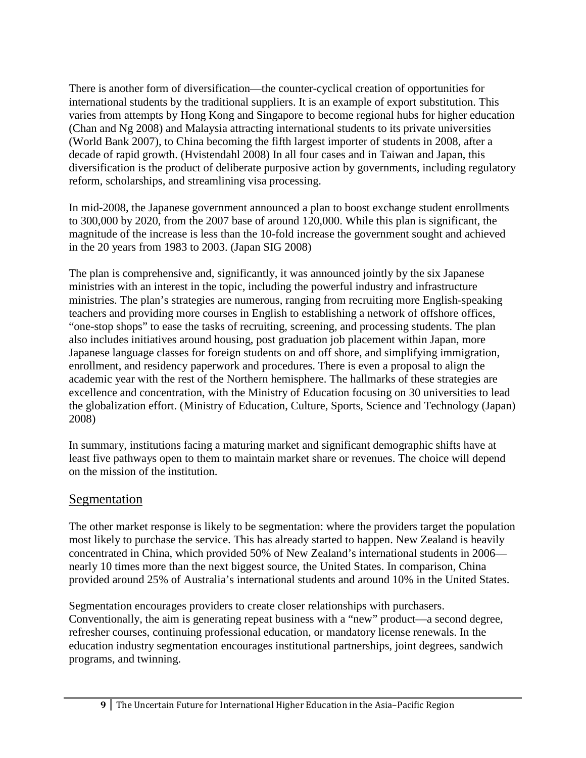There is another form of diversification—the counter-cyclical creation of opportunities for international students by the traditional suppliers. It is an example of export substitution. This varies from attempts by Hong Kong and Singapore to become regional hubs for higher education (Chan and Ng 2008) and Malaysia attracting international students to its private universities (World Bank 2007), to China becoming the fifth largest importer of students in 2008, after a decade of rapid growth. (Hvistendahl 2008) In all four cases and in Taiwan and Japan, this diversification is the product of deliberate purposive action by governments, including regulatory reform, scholarships, and streamlining visa processing.

In mid-2008, the Japanese government announced a plan to boost exchange student enrollments to 300,000 by 2020, from the 2007 base of around 120,000. While this plan is significant, the magnitude of the increase is less than the 10-fold increase the government sought and achieved in the 20 years from 1983 to 2003. (Japan SIG 2008)

The plan is comprehensive and, significantly, it was announced jointly by the six Japanese ministries with an interest in the topic, including the powerful industry and infrastructure ministries. The plan's strategies are numerous, ranging from recruiting more English-speaking teachers and providing more courses in English to establishing a network of offshore offices, "one-stop shops" to ease the tasks of recruiting, screening, and processing students. The plan also includes initiatives around housing, post graduation job placement within Japan, more Japanese language classes for foreign students on and off shore, and simplifying immigration, enrollment, and residency paperwork and procedures. There is even a proposal to align the academic year with the rest of the Northern hemisphere. The hallmarks of these strategies are excellence and concentration, with the Ministry of Education focusing on 30 universities to lead the globalization effort. (Ministry of Education, Culture, Sports, Science and Technology (Japan) 2008)

In summary, institutions facing a maturing market and significant demographic shifts have at least five pathways open to them to maintain market share or revenues. The choice will depend on the mission of the institution.

## Segmentation

The other market response is likely to be segmentation: where the providers target the population most likely to purchase the service. This has already started to happen. New Zealand is heavily concentrated in China, which provided 50% of New Zealand's international students in 2006 nearly 10 times more than the next biggest source, the United States. In comparison, China provided around 25% of Australia's international students and around 10% in the United States.

Segmentation encourages providers to create closer relationships with purchasers. Conventionally, the aim is generating repeat business with a "new" product—a second degree, refresher courses, continuing professional education, or mandatory license renewals. In the education industry segmentation encourages institutional partnerships, joint degrees, sandwich programs, and twinning.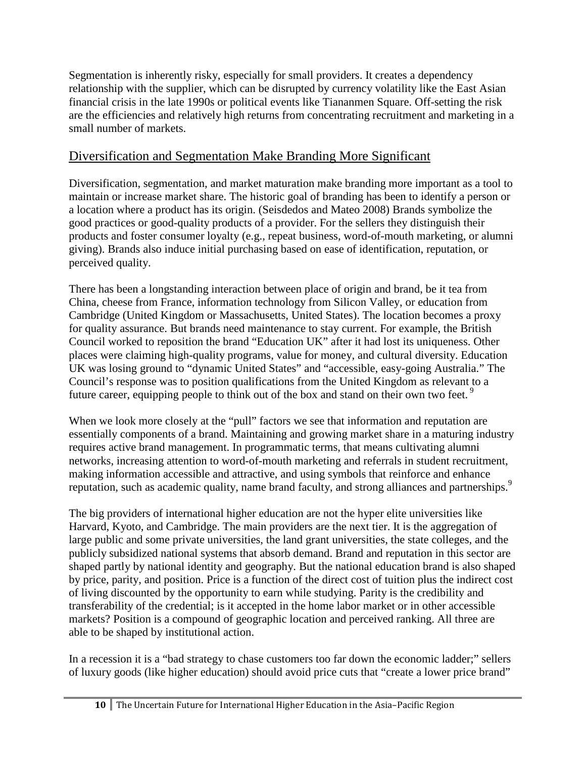Segmentation is inherently risky, especially for small providers. It creates a dependency relationship with the supplier, which can be disrupted by currency volatility like the East Asian financial crisis in the late 1990s or political events like Tiananmen Square. Off-setting the risk are the efficiencies and relatively high returns from concentrating recruitment and marketing in a small number of markets.

## Diversification and Segmentation Make Branding More Significant

Diversification, segmentation, and market maturation make branding more important as a tool to maintain or increase market share. The historic goal of branding has been to identify a person or a location where a product has its origin. (Seisdedos and Mateo 2008) Brands symbolize the good practices or good-quality products of a provider. For the sellers they distinguish their products and foster consumer loyalty (e.g., repeat business, word-of-mouth marketing, or alumni giving). Brands also induce initial purchasing based on ease of identification, reputation, or perceived quality.

There has been a longstanding interaction between place of origin and brand, be it tea from China, cheese from France, information technology from Silicon Valley, or education from Cambridge (United Kingdom or Massachusetts, United States). The location becomes a proxy for quality assurance. But brands need maintenance to stay current. For example, the British Council worked to reposition the brand "Education UK" after it had lost its uniqueness. Other places were claiming high-quality programs, value for money, and cultural diversity. Education UK was losing ground to "dynamic United States" and "accessible, easy-going Australia." The Council's response was to position qualifications from the United Kingdom as relevant to a future career, equipping people to think out of the box and stand on their own two feet.<sup>9</sup>

When we look more closely at the "pull" factors we see that information and reputation are essentially components of a brand. Maintaining and growing market share in a maturing industry requires active brand management. In programmatic terms, that means cultivating alumni networks, increasing attention to word-of-mouth marketing and referrals in student recruitment, making information accessible and attractive, and using symbols that reinforce and enhance reputation, such as academic quality, name brand faculty, and strong alliances and partnerships.<sup>9</sup>

The big providers of international higher education are not the hyper elite universities like Harvard, Kyoto, and Cambridge. The main providers are the next tier. It is the aggregation of large public and some private universities, the land grant universities, the state colleges, and the publicly subsidized national systems that absorb demand. Brand and reputation in this sector are shaped partly by national identity and geography. But the national education brand is also shaped by price, parity, and position. Price is a function of the direct cost of tuition plus the indirect cost of living discounted by the opportunity to earn while studying. Parity is the credibility and transferability of the credential; is it accepted in the home labor market or in other accessible markets? Position is a compound of geographic location and perceived ranking. All three are able to be shaped by institutional action.

In a recession it is a "bad strategy to chase customers too far down the economic ladder;" sellers of luxury goods (like higher education) should avoid price cuts that "create a lower price brand"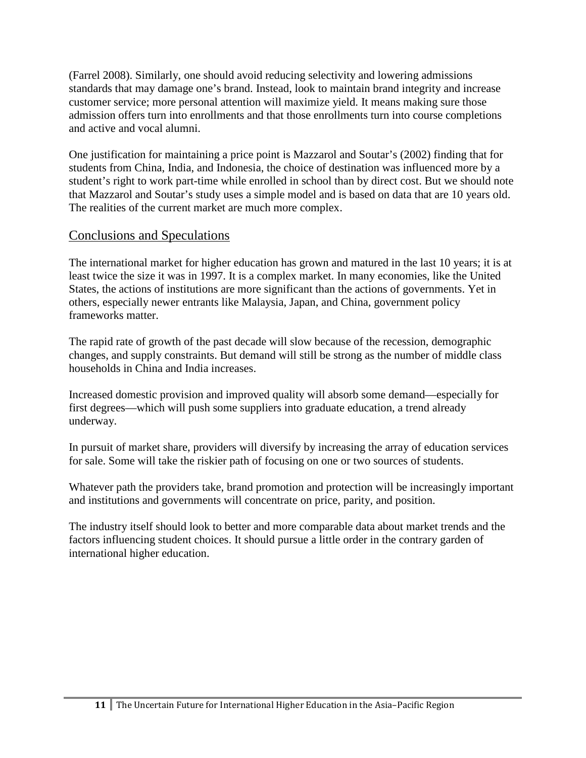(Farrel 2008). Similarly, one should avoid reducing selectivity and lowering admissions standards that may damage one's brand. Instead, look to maintain brand integrity and increase customer service; more personal attention will maximize yield. It means making sure those admission offers turn into enrollments and that those enrollments turn into course completions and active and vocal alumni.

One justification for maintaining a price point is Mazzarol and Soutar's (2002) finding that for students from China, India, and Indonesia, the choice of destination was influenced more by a student's right to work part-time while enrolled in school than by direct cost. But we should note that Mazzarol and Soutar's study uses a simple model and is based on data that are 10 years old. The realities of the current market are much more complex.

## Conclusions and Speculations

The international market for higher education has grown and matured in the last 10 years; it is at least twice the size it was in 1997. It is a complex market. In many economies, like the United States, the actions of institutions are more significant than the actions of governments. Yet in others, especially newer entrants like Malaysia, Japan, and China, government policy frameworks matter.

The rapid rate of growth of the past decade will slow because of the recession, demographic changes, and supply constraints. But demand will still be strong as the number of middle class households in China and India increases.

Increased domestic provision and improved quality will absorb some demand—especially for first degrees—which will push some suppliers into graduate education, a trend already underway.

In pursuit of market share, providers will diversify by increasing the array of education services for sale. Some will take the riskier path of focusing on one or two sources of students.

Whatever path the providers take, brand promotion and protection will be increasingly important and institutions and governments will concentrate on price, parity, and position.

The industry itself should look to better and more comparable data about market trends and the factors influencing student choices. It should pursue a little order in the contrary garden of international higher education.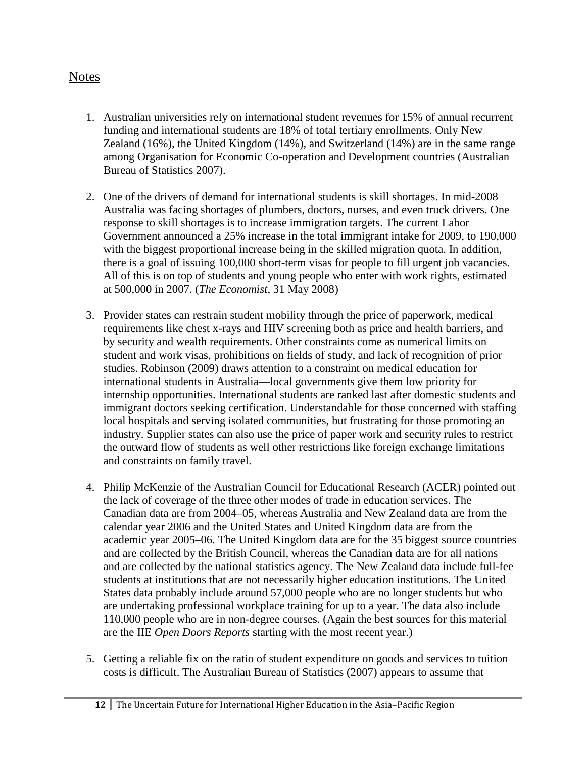## Notes

- 1. Australian universities rely on international student revenues for 15% of annual recurrent funding and international students are 18% of total tertiary enrollments. Only New Zealand (16%), the United Kingdom (14%), and Switzerland (14%) are in the same range among Organisation for Economic Co-operation and Development countries (Australian Bureau of Statistics 2007).
- 2. One of the drivers of demand for international students is skill shortages. In mid-2008 Australia was facing shortages of plumbers, doctors, nurses, and even truck drivers. One response to skill shortages is to increase immigration targets. The current Labor Government announced a 25% increase in the total immigrant intake for 2009, to 190,000 with the biggest proportional increase being in the skilled migration quota. In addition, there is a goal of issuing 100,000 short-term visas for people to fill urgent job vacancies. All of this is on top of students and young people who enter with work rights, estimated at 500,000 in 2007. (*The Economist*, 31 May 2008)
- 3. Provider states can restrain student mobility through the price of paperwork, medical requirements like chest x-rays and HIV screening both as price and health barriers, and by security and wealth requirements. Other constraints come as numerical limits on student and work visas, prohibitions on fields of study, and lack of recognition of prior studies. Robinson (2009) draws attention to a constraint on medical education for international students in Australia—local governments give them low priority for internship opportunities. International students are ranked last after domestic students and immigrant doctors seeking certification. Understandable for those concerned with staffing local hospitals and serving isolated communities, but frustrating for those promoting an industry. Supplier states can also use the price of paper work and security rules to restrict the outward flow of students as well other restrictions like foreign exchange limitations and constraints on family travel.
- 4. Philip McKenzie of the Australian Council for Educational Research (ACER) pointed out the lack of coverage of the three other modes of trade in education services. The Canadian data are from 2004–05, whereas Australia and New Zealand data are from the calendar year 2006 and the United States and United Kingdom data are from the academic year 2005–06. The United Kingdom data are for the 35 biggest source countries and are collected by the British Council, whereas the Canadian data are for all nations and are collected by the national statistics agency. The New Zealand data include full-fee students at institutions that are not necessarily higher education institutions. The United States data probably include around 57,000 people who are no longer students but who are undertaking professional workplace training for up to a year. The data also include 110,000 people who are in non-degree courses. (Again the best sources for this material are the IIE *Open Doors Reports* starting with the most recent year.)
- 5. Getting a reliable fix on the ratio of student expenditure on goods and services to tuition costs is difficult. The Australian Bureau of Statistics (2007) appears to assume that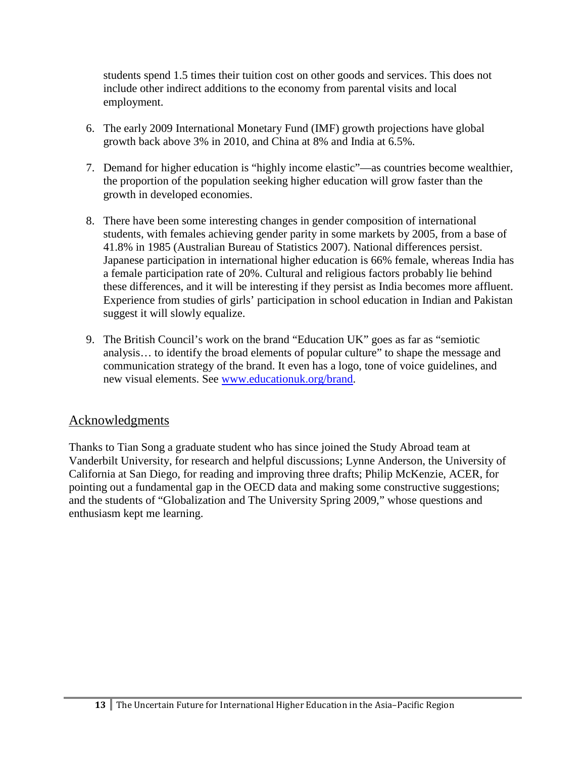students spend 1.5 times their tuition cost on other goods and services. This does not include other indirect additions to the economy from parental visits and local employment.

- 6. The early 2009 International Monetary Fund (IMF) growth projections have global growth back above 3% in 2010, and China at 8% and India at 6.5%.
- 7. Demand for higher education is "highly income elastic"—as countries become wealthier, the proportion of the population seeking higher education will grow faster than the growth in developed economies.
- 8. There have been some interesting changes in gender composition of international students, with females achieving gender parity in some markets by 2005, from a base of 41.8% in 1985 (Australian Bureau of Statistics 2007). National differences persist. Japanese participation in international higher education is 66% female, whereas India has a female participation rate of 20%. Cultural and religious factors probably lie behind these differences, and it will be interesting if they persist as India becomes more affluent. Experience from studies of girls' participation in school education in Indian and Pakistan suggest it will slowly equalize.
- 9. The British Council's work on the brand "Education UK" goes as far as "semiotic analysis… to identify the broad elements of popular culture" to shape the message and communication strategy of the brand. It even has a logo, tone of voice guidelines, and new visual elements. See [www.educationuk.org/brand.](http://www.educationuk.org/brand)

## Acknowledgments

Thanks to Tian Song a graduate student who has since joined the Study Abroad team at Vanderbilt University, for research and helpful discussions; Lynne Anderson, the University of California at San Diego, for reading and improving three drafts; Philip McKenzie, ACER, for pointing out a fundamental gap in the OECD data and making some constructive suggestions; and the students of "Globalization and The University Spring 2009," whose questions and enthusiasm kept me learning.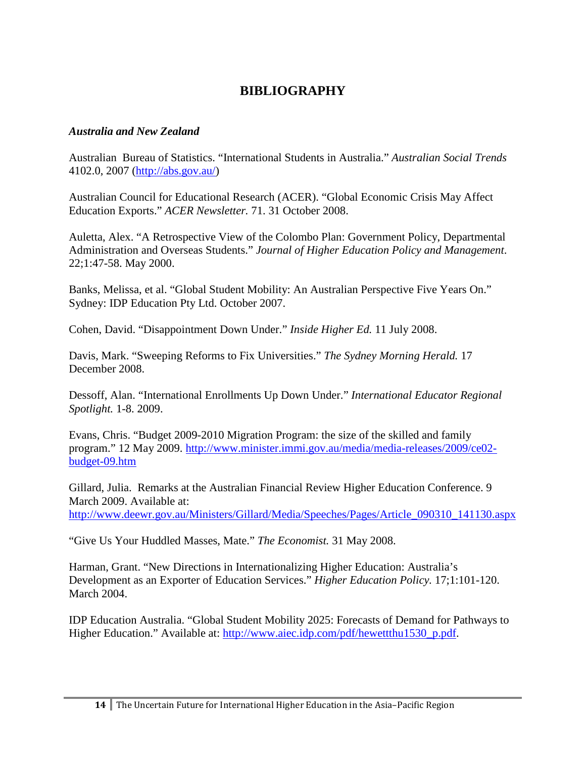# **BIBLIOGRAPHY**

#### *Australia and New Zealand*

Australian Bureau of Statistics. "International Students in Australia." *Australian Social Trends* 4102.0, 2007 [\(http://abs.gov.au/\)](http://abs.gov.au/)

Australian Council for Educational Research (ACER). "Global Economic Crisis May Affect Education Exports." *ACER Newsletter.* 71. 31 October 2008.

Auletta, Alex. "A Retrospective View of the Colombo Plan: Government Policy, Departmental Administration and Overseas Students." *Journal of Higher Education Policy and Management*. 22;1:47-58. May 2000.

Banks, Melissa, et al. "Global Student Mobility: An Australian Perspective Five Years On." Sydney: IDP Education Pty Ltd. October 2007.

Cohen, David. "Disappointment Down Under." *Inside Higher Ed.* 11 July 2008.

Davis, Mark. "Sweeping Reforms to Fix Universities." *The Sydney Morning Herald.* 17 December 2008.

Dessoff, Alan. "International Enrollments Up Down Under." *International Educator Regional Spotlight.* 1-8. 2009.

Evans, Chris. "Budget 2009-2010 Migration Program: the size of the skilled and family program." 12 May 2009. [http://www.minister.immi.gov.au/media/media-releases/2009/ce02](http://www.minister.immi.gov.au/media/media-releases/2009/ce02-budget-09.htm) [budget-09.htm](http://www.minister.immi.gov.au/media/media-releases/2009/ce02-budget-09.htm)

Gillard, Julia. Remarks at the Australian Financial Review Higher Education Conference. 9 March 2009. Available at: [http://www.deewr.gov.au/Ministers/Gillard/Media/Speeches/Pages/Article\\_090310\\_141130.aspx](http://www.deewr.gov.au/Ministers/Gillard/Media/Speeches/Pages/Article_090310_141130.aspx)

"Give Us Your Huddled Masses, Mate." *The Economist.* 31 May 2008.

Harman, Grant. "New Directions in Internationalizing Higher Education: Australia's Development as an Exporter of Education Services." *Higher Education Policy.* 17;1:101-120. March 2004.

IDP Education Australia. "Global Student Mobility 2025: Forecasts of Demand for Pathways to Higher Education." Available at: [http://www.aiec.idp.com/pdf/hewettthu1530\\_p.pdf.](http://www.aiec.idp.com/pdf/hewettthu1530_p.pdf)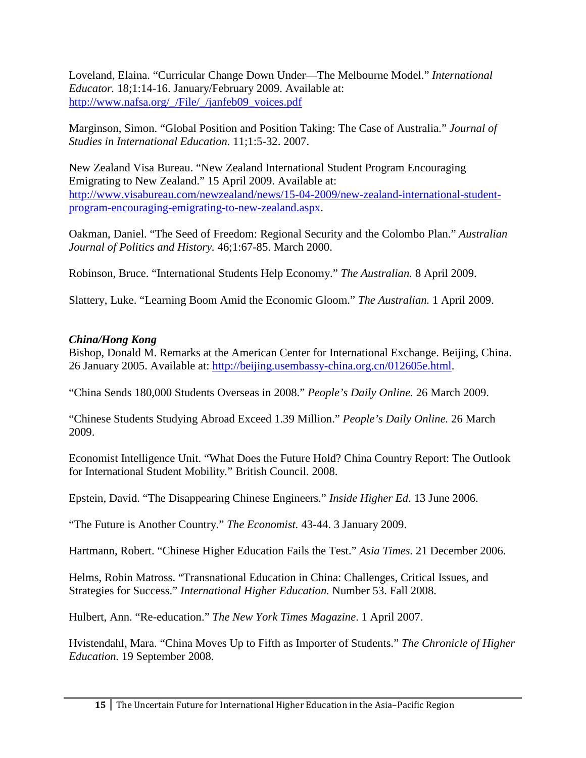Loveland, Elaina. "Curricular Change Down Under—The Melbourne Model." *International Educator.* 18;1:14-16. January/February 2009. Available at: [http://www.nafsa.org/\\_/File/\\_/janfeb09\\_voices.pdf](http://www.nafsa.org/_/File/_/janfeb09_voices.pdf)

Marginson, Simon. "Global Position and Position Taking: The Case of Australia." *Journal of Studies in International Education.* 11;1:5-32. 2007.

New Zealand Visa Bureau. "New Zealand International Student Program Encouraging Emigrating to New Zealand." 15 April 2009. Available at: [http://www.visabureau.com/newzealand/news/15-04-2009/new-zealand-international-student](http://www.visabureau.com/newzealand/news/15-04-2009/new-zealand-international-student-program-encouraging-emigrating-to-new-zealand.aspx)[program-encouraging-emigrating-to-new-zealand.aspx.](http://www.visabureau.com/newzealand/news/15-04-2009/new-zealand-international-student-program-encouraging-emigrating-to-new-zealand.aspx)

Oakman, Daniel. "The Seed of Freedom: Regional Security and the Colombo Plan." *Australian Journal of Politics and History.* 46;1:67-85. March 2000.

Robinson, Bruce. "International Students Help Economy." *The Australian.* 8 April 2009.

Slattery, Luke. "Learning Boom Amid the Economic Gloom." *The Australian.* 1 April 2009.

### *China/Hong Kong*

Bishop, Donald M. Remarks at the American Center for International Exchange. Beijing, China. 26 January 2005. Available at: [http://beijing.usembassy-china.org.cn/012605e.html.](http://beijing.usembassy-china.org.cn/012605e.html)

"China Sends 180,000 Students Overseas in 2008." *People's Daily Online.* 26 March 2009.

"Chinese Students Studying Abroad Exceed 1.39 Million." *People's Daily Online.* 26 March 2009.

Economist Intelligence Unit. "What Does the Future Hold? China Country Report: The Outlook for International Student Mobility*.*" British Council. 2008.

Epstein, David. "The Disappearing Chinese Engineers." *Inside Higher Ed*. 13 June 2006.

"The Future is Another Country." *The Economist.* 43-44. 3 January 2009.

Hartmann, Robert. "Chinese Higher Education Fails the Test." *Asia Times.* 21 December 2006.

Helms, Robin Matross. "Transnational Education in China: Challenges, Critical Issues, and Strategies for Success." *International Higher Education.* Number 53. Fall 2008.

Hulbert, Ann. "Re-education." *The New York Times Magazine*. 1 April 2007.

Hvistendahl, Mara. "China Moves Up to Fifth as Importer of Students." *The Chronicle of Higher Education.* 19 September 2008.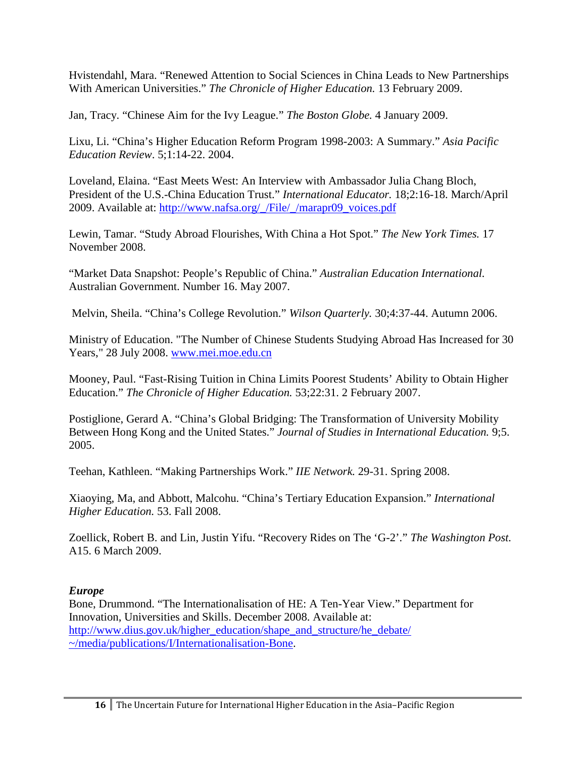Hvistendahl, Mara. "Renewed Attention to Social Sciences in China Leads to New Partnerships With American Universities." *The Chronicle of Higher Education.* 13 February 2009.

Jan, Tracy. "Chinese Aim for the Ivy League." *The Boston Globe.* 4 January 2009.

Lixu, Li. "China's Higher Education Reform Program 1998-2003: A Summary." *Asia Pacific Education Review*. 5;1:14-22. 2004.

Loveland, Elaina. "East Meets West: An Interview with Ambassador Julia Chang Bloch, President of the U.S.-China Education Trust." *International Educator.* 18;2:16-18. March/April 2009. Available at: [http://www.nafsa.org/\\_/File/\\_/marapr09\\_voices.pdf](http://www.nafsa.org/_/File/_/marapr09_voices.pdf)

Lewin, Tamar. "Study Abroad Flourishes, With China a Hot Spot." *The New York Times.* 17 November 2008.

"Market Data Snapshot: People's Republic of China." *Australian Education International.* Australian Government. Number 16. May 2007.

Melvin, Sheila. "China's College Revolution." *Wilson Quarterly.* 30;4:37-44. Autumn 2006.

Ministry of Education. "The Number of Chinese Students Studying Abroad Has Increased for 30 Years," 28 July 2008. [www.mei.moe.edu.cn](http://www.mei.moe.edu.cn/)

Mooney, Paul. "Fast-Rising Tuition in China Limits Poorest Students' Ability to Obtain Higher Education." *The Chronicle of Higher Education.* 53;22:31. 2 February 2007.

Postiglione, Gerard A. "China's Global Bridging: The Transformation of University Mobility Between Hong Kong and the United States." *Journal of Studies in International Education.* 9;5. 2005.

Teehan, Kathleen. "Making Partnerships Work." *IIE Network.* 29-31. Spring 2008.

Xiaoying, Ma, and Abbott, Malcohu. "China's Tertiary Education Expansion." *International Higher Education.* 53. Fall 2008.

Zoellick, Robert B. and Lin, Justin Yifu. "Recovery Rides on The 'G-2'." *The Washington Post.*  A15. 6 March 2009.

## *Europe*

Bone, Drummond. "The Internationalisation of HE: A Ten-Year View." Department for Innovation, Universities and Skills. December 2008. Available at: [http://www.dius.gov.uk/higher\\_education/shape\\_and\\_structure/he\\_debate/](http://www.dius.gov.uk/higher_education/shape_and_structure/he_debate/~/media/publications/I/Internationalisation-Bone) [~/media/publications/I/Internationalisation-Bone.](http://www.dius.gov.uk/higher_education/shape_and_structure/he_debate/~/media/publications/I/Internationalisation-Bone)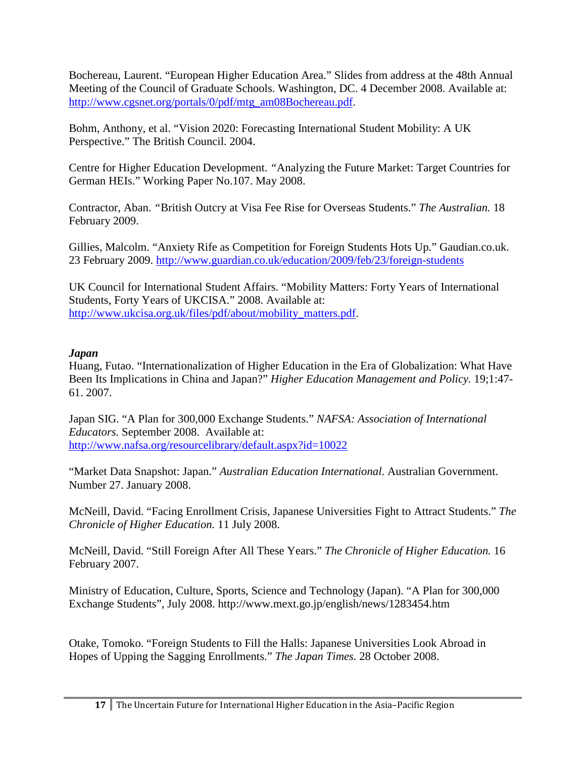Bochereau, Laurent. "European Higher Education Area." Slides from address at the 48th Annual Meeting of the Council of Graduate Schools. Washington, DC. 4 December 2008. Available at: [http://www.cgsnet.org/portals/0/pdf/mtg\\_am08Bochereau.pdf.](http://www.cgsnet.org/portals/0/pdf/mtg_am08Bochereau.pdf)

Bohm, Anthony, et al. "Vision 2020: Forecasting International Student Mobility: A UK Perspective." The British Council. 2004.

Centre for Higher Education Development. *"*Analyzing the Future Market: Target Countries for German HEIs." Working Paper No.107. May 2008.

Contractor, Aban. *"*British Outcry at Visa Fee Rise for Overseas Students." *The Australian.* 18 February 2009.

Gillies, Malcolm. "Anxiety Rife as Competition for Foreign Students Hots Up." Gaudian.co.uk. 23 February 2009. <http://www.guardian.co.uk/education/2009/feb/23/foreign-students>

UK Council for International Student Affairs. "Mobility Matters: Forty Years of International Students, Forty Years of UKCISA." 2008. Available at: [http://www.ukcisa.org.uk/files/pdf/about/mobility\\_matters.pdf.](http://www.ukcisa.org.uk/files/pdf/about/mobility_matters.pdf)

### *Japan*

Huang, Futao. "Internationalization of Higher Education in the Era of Globalization: What Have Been Its Implications in China and Japan?" *Higher Education Management and Policy.* 19;1:47- 61. 2007.

Japan SIG. "A Plan for 300,000 Exchange Students." *NAFSA: Association of International Educators.* September 2008. Available at: <http://www.nafsa.org/resourcelibrary/default.aspx?id=10022>

"Market Data Snapshot: Japan." *Australian Education International*. Australian Government. Number 27. January 2008.

McNeill, David. "Facing Enrollment Crisis, Japanese Universities Fight to Attract Students." *The Chronicle of Higher Education.* 11 July 2008.

McNeill, David. "Still Foreign After All These Years." *The Chronicle of Higher Education.* 16 February 2007.

Ministry of Education, Culture, Sports, Science and Technology (Japan). "A Plan for 300,000 Exchange Students", July 2008. http://www.mext.go.jp/english/news/1283454.htm

Otake, Tomoko. "Foreign Students to Fill the Halls: Japanese Universities Look Abroad in Hopes of Upping the Sagging Enrollments." *The Japan Times.* 28 October 2008.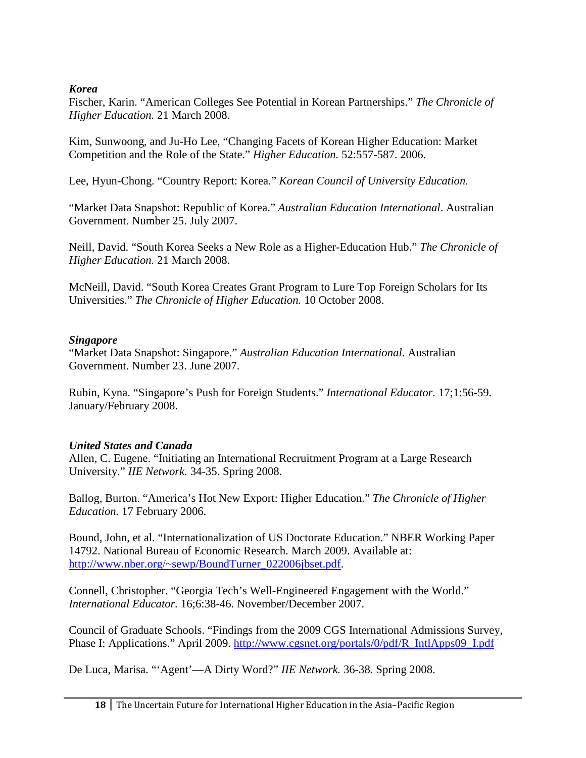#### *Korea*

Fischer, Karin. "American Colleges See Potential in Korean Partnerships." *The Chronicle of Higher Education.* 21 March 2008.

Kim, Sunwoong, and Ju-Ho Lee, "Changing Facets of Korean Higher Education: Market Competition and the Role of the State." *Higher Education.* 52:557-587. 2006.

Lee, Hyun-Chong. "Country Report: Korea." *Korean Council of University Education.*

"Market Data Snapshot: Republic of Korea." *Australian Education International*. Australian Government. Number 25. July 2007.

Neill, David. "South Korea Seeks a New Role as a Higher-Education Hub." *The Chronicle of Higher Education.* 21 March 2008.

McNeill, David. "South Korea Creates Grant Program to Lure Top Foreign Scholars for Its Universities." *The Chronicle of Higher Education.* 10 October 2008.

### *Singapore*

"Market Data Snapshot: Singapore." *Australian Education International*. Australian Government. Number 23. June 2007.

Rubin, Kyna. "Singapore's Push for Foreign Students." *International Educator.* 17;1:56-59. January/February 2008.

### *United States and Canada*

Allen, C. Eugene. "Initiating an International Recruitment Program at a Large Research University." *IIE Network.* 34-35. Spring 2008.

Ballog, Burton. "America's Hot New Export: Higher Education." *The Chronicle of Higher Education.* 17 February 2006.

Bound, John, et al. "Internationalization of US Doctorate Education." NBER Working Paper 14792. National Bureau of Economic Research. March 2009. Available at: [http://www.nber.org/~sewp/BoundTurner\\_022006jbset.pdf.](http://www.nber.org/~sewp/BoundTurner_022006jbset.pdf)

Connell, Christopher. "Georgia Tech's Well-Engineered Engagement with the World." *International Educator.* 16;6:38-46. November/December 2007.

Council of Graduate Schools. "Findings from the 2009 CGS International Admissions Survey, Phase I: Applications." April 2009. [http://www.cgsnet.org/portals/0/pdf/R\\_IntlApps09\\_I.pdf](http://www.cgsnet.org/portals/0/pdf/R_IntlApps09_I.pdf)

De Luca, Marisa. "'Agent'—A Dirty Word?" *IIE Network.* 36-38. Spring 2008.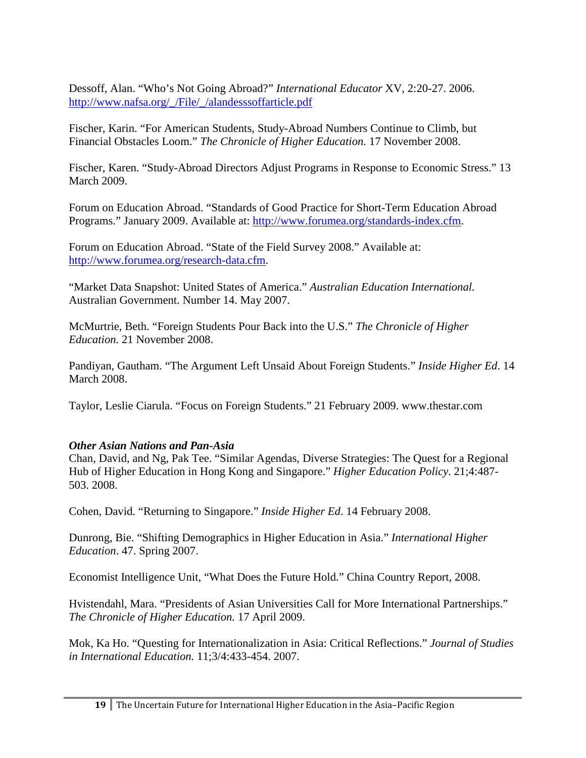Dessoff, Alan. "Who's Not Going Abroad?" *International Educator* XV, 2:20-27. 2006. [http://www.nafsa.org/\\_/File/\\_/alandesssoffarticle.pdf](http://www.nafsa.org/_/File/_/alandesssoffarticle.pdf)

Fischer, Karin. "For American Students, Study-Abroad Numbers Continue to Climb, but Financial Obstacles Loom." *The Chronicle of Higher Education.* 17 November 2008.

Fischer, Karen. "Study-Abroad Directors Adjust Programs in Response to Economic Stress." 13 March 2009.

Forum on Education Abroad. "Standards of Good Practice for Short-Term Education Abroad Programs." January 2009. Available at: [http://www.forumea.org/standards-index.cfm.](http://www.forumea.org/standards-index.cfm)

Forum on Education Abroad. "State of the Field Survey 2008." Available at: [http://www.forumea.org/research-data.cfm.](http://www.forumea.org/research-data.cfm)

"Market Data Snapshot: United States of America." *Australian Education International.* Australian Government. Number 14. May 2007.

McMurtrie, Beth. "Foreign Students Pour Back into the U.S." *The Chronicle of Higher Education.* 21 November 2008.

Pandiyan, Gautham. "The Argument Left Unsaid About Foreign Students." *Inside Higher Ed*. 14 March 2008.

Taylor, Leslie Ciarula. "Focus on Foreign Students." 21 February 2009. www.thestar.com

### *Other Asian Nations and Pan-Asia*

Chan, David, and Ng, Pak Tee. "Similar Agendas, Diverse Strategies: The Quest for a Regional Hub of Higher Education in Hong Kong and Singapore." *Higher Education Policy*. 21;4:487- 503. 2008.

Cohen, David. "Returning to Singapore." *Inside Higher Ed*. 14 February 2008.

Dunrong, Bie. "Shifting Demographics in Higher Education in Asia." *International Higher Education*. 47. Spring 2007.

Economist Intelligence Unit, "What Does the Future Hold." China Country Report, 2008.

Hvistendahl, Mara. "Presidents of Asian Universities Call for More International Partnerships." *The Chronicle of Higher Education.* 17 April 2009.

Mok, Ka Ho. "Questing for Internationalization in Asia: Critical Reflections." *Journal of Studies in International Education.* 11;3/4:433-454. 2007.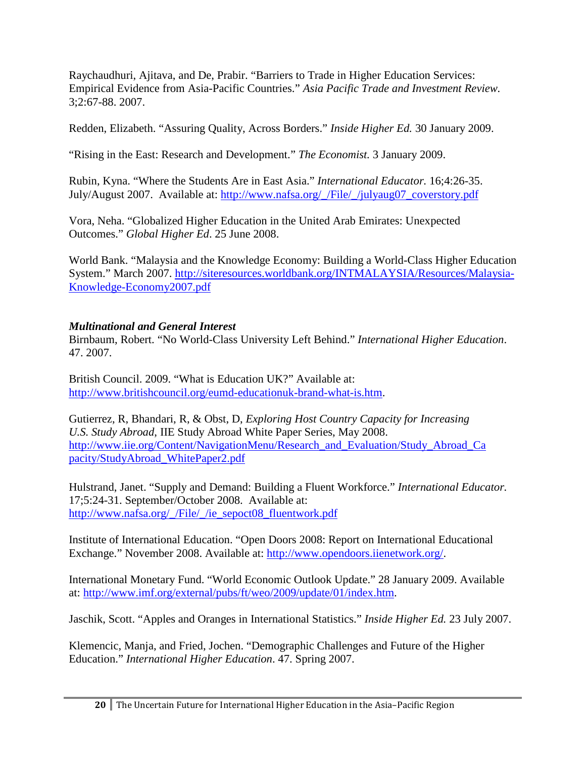Raychaudhuri, Ajitava, and De, Prabir. "Barriers to Trade in Higher Education Services: Empirical Evidence from Asia-Pacific Countries." *Asia Pacific Trade and Investment Review.*  3;2:67-88. 2007.

Redden, Elizabeth. "Assuring Quality, Across Borders." *Inside Higher Ed.* 30 January 2009.

"Rising in the East: Research and Development." *The Economist.* 3 January 2009.

Rubin, Kyna. "Where the Students Are in East Asia." *International Educator.* 16;4:26-35. July/August 2007. Available at: [http://www.nafsa.org/\\_/File/\\_/julyaug07\\_coverstory.pdf](http://www.nafsa.org/_/File/_/julyaug07_coverstory.pdf)

Vora, Neha. "Globalized Higher Education in the United Arab Emirates: Unexpected Outcomes." *Global Higher Ed*. 25 June 2008.

World Bank. "Malaysia and the Knowledge Economy: Building a World-Class Higher Education System." March 2007. [http://siteresources.worldbank.org/INTMALAYSIA/Resources/Malaysia-](http://siteresources.worldbank.org/INTMALAYSIA/Resources/Malaysia-Knowledge-Economy2007.pdf)[Knowledge-Economy2007.pdf](http://siteresources.worldbank.org/INTMALAYSIA/Resources/Malaysia-Knowledge-Economy2007.pdf)

## *Multinational and General Interest*

Birnbaum, Robert. "No World-Class University Left Behind." *International Higher Education*. 47. 2007.

British Council. 2009. "What is Education UK?" Available at: [http://www.britishcouncil.org/eumd-educationuk-brand-what-is.htm.](http://www.britishcouncil.org/eumd-educationuk-brand-what-is.htm)

Gutierrez, R, Bhandari, R, & Obst, D, *Exploring Host Country Capacity for Increasing U.S. Study Abroad*, IIE Study Abroad White Paper Series, May 2008. [http://www.iie.org/Content/NavigationMenu/Research\\_and\\_Evaluation/Study\\_Abroad\\_Ca](http://www.iie.org/Content/NavigationMenu/Research_and_Evaluation/Study_Abroad_Capacity/StudyAbroad_WhitePaper2.pdf) [pacity/StudyAbroad\\_WhitePaper2.pdf](http://www.iie.org/Content/NavigationMenu/Research_and_Evaluation/Study_Abroad_Capacity/StudyAbroad_WhitePaper2.pdf)

Hulstrand, Janet. "Supply and Demand: Building a Fluent Workforce." *International Educator.*  17;5:24-31. September/October 2008. Available at: [http://www.nafsa.org/\\_/File/\\_/ie\\_sepoct08\\_fluentwork.pdf](http://www.nafsa.org/_/File/_/ie_sepoct08_fluentwork.pdf)

Institute of International Education. "Open Doors 2008: Report on International Educational Exchange." November 2008. Available at: [http://www.opendoors.iienetwork.org/.](http://www.opendoors.iienetwork.org/)

International Monetary Fund. "World Economic Outlook Update." 28 January 2009. Available at: [http://www.imf.org/external/pubs/ft/weo/2009/update/01/index.htm.](http://www.imf.org/external/pubs/ft/weo/2009/update/01/index.htm)

Jaschik, Scott. "Apples and Oranges in International Statistics." *Inside Higher Ed.* 23 July 2007.

Klemencic, Manja, and Fried, Jochen. "Demographic Challenges and Future of the Higher Education." *International Higher Education*. 47. Spring 2007.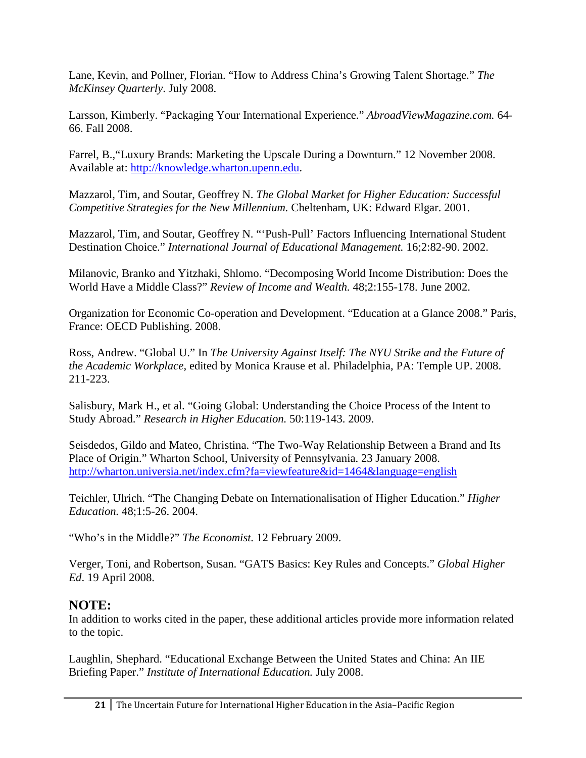Lane, Kevin, and Pollner, Florian. "How to Address China's Growing Talent Shortage." *The McKinsey Quarterly*. July 2008.

Larsson, Kimberly. "Packaging Your International Experience." *AbroadViewMagazine.com.* 64- 66. Fall 2008.

Farrel, B.,"Luxury Brands: Marketing the Upscale During a Downturn." 12 November 2008. Available at: [http://knowledge.wharton.upenn.edu.](http://knowledge.wharton.upenn.edu/)

Mazzarol, Tim, and Soutar, Geoffrey N. *The Global Market for Higher Education: Successful Competitive Strategies for the New Millennium.* Cheltenham, UK: Edward Elgar. 2001.

Mazzarol, Tim, and Soutar, Geoffrey N. "'Push-Pull' Factors Influencing International Student Destination Choice." *International Journal of Educational Management.* 16;2:82-90. 2002.

Milanovic, Branko and Yitzhaki, Shlomo. "Decomposing World Income Distribution: Does the World Have a Middle Class?" *Review of Income and Wealth.* 48;2:155-178. June 2002.

Organization for Economic Co-operation and Development. "Education at a Glance 2008." Paris, France: OECD Publishing. 2008.

Ross, Andrew. "Global U." In *The University Against Itself: The NYU Strike and the Future of the Academic Workplace,* edited by Monica Krause et al. Philadelphia, PA: Temple UP. 2008. 211-223.

Salisbury, Mark H., et al. "Going Global: Understanding the Choice Process of the Intent to Study Abroad." *Research in Higher Education.* 50:119-143. 2009.

Seisdedos, Gildo and Mateo, Christina. "The Two-Way Relationship Between a Brand and Its Place of Origin." Wharton School, University of Pennsylvania. 23 January 2008. <http://wharton.universia.net/index.cfm?fa=viewfeature&id=1464&language=english>

Teichler, Ulrich. "The Changing Debate on Internationalisation of Higher Education." *Higher Education.* 48;1:5-26. 2004.

"Who's in the Middle?" *The Economist.* 12 February 2009.

Verger, Toni, and Robertson, Susan. "GATS Basics: Key Rules and Concepts." *Global Higher Ed*. 19 April 2008.

# **NOTE:**

In addition to works cited in the paper, these additional articles provide more information related to the topic.

Laughlin, Shephard. "Educational Exchange Between the United States and China: An IIE Briefing Paper." *Institute of International Education.* July 2008.